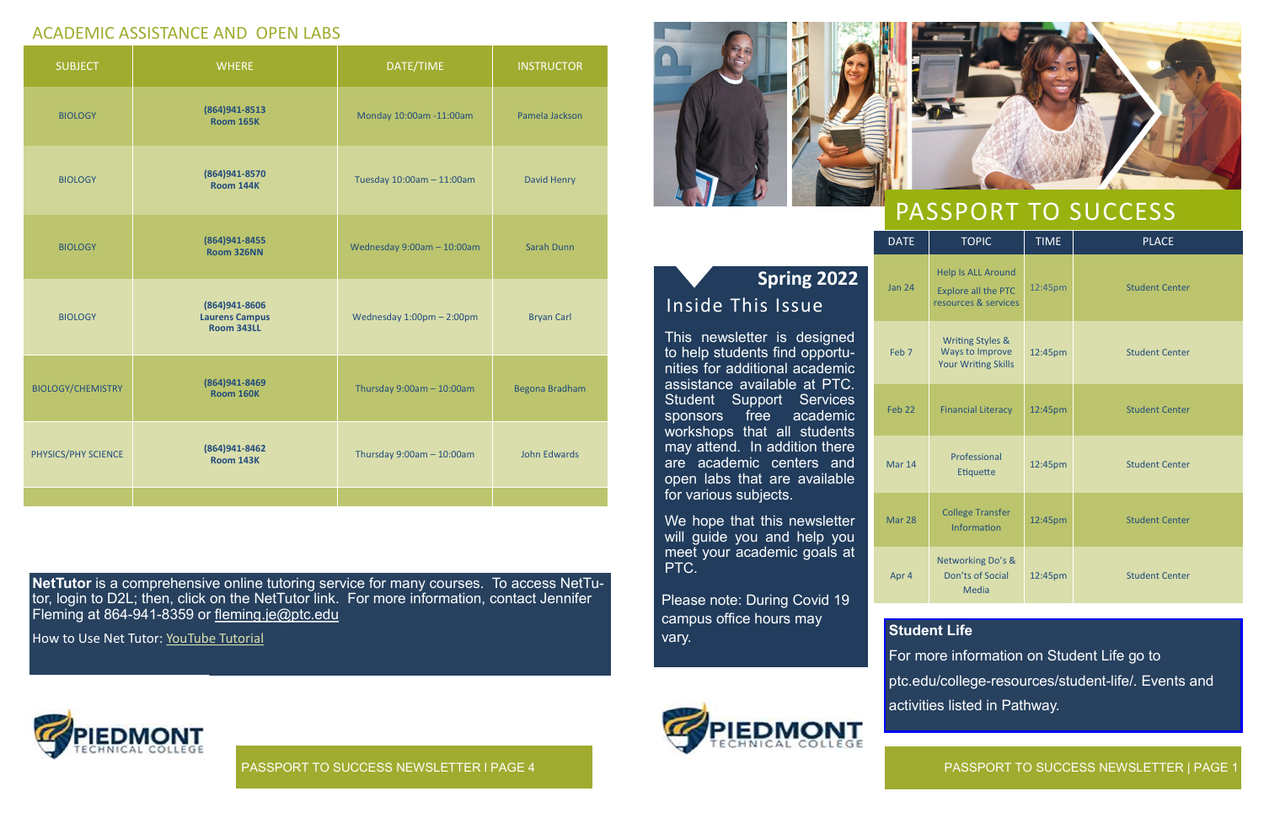may attend. In addition there are academic centers and open labs that are available

for various subjects.

PTC.

We hope that this newsletter will guide you and help you meet your academic goals at

PASSPORT TO SUCCESS NEWSLETTER | PAGE 1

Mar 14

Mar 28



**EDMONT** 



**NetTutor** is a comprehensive online tutoring service for many courses. To access NetTutor, login to D2L; then, click on the NetTutor link. For more information, contact Jennifer Fleming at 864-941-8359 or fleming.je[@ptc.edu](mailto:hearst.a@ptc.edu)

How to Use Net Tutor: [YouTube Tutorial](https://www.youtube.com/watch?v=Vq6J84Sv2ro)

| <b>TOPIC</b>                                                                    | <b>TIME</b> | <b>PLACE</b>          |
|---------------------------------------------------------------------------------|-------------|-----------------------|
| <b>Help Is ALL Around</b><br><b>Explore all the PTC</b><br>resources & services | 12:45pm     | <b>Student Center</b> |
| <b>Writing Styles &amp;</b><br>Ways to Improve<br><b>Your Writing Skills</b>    | 12:45pm     | <b>Student Center</b> |
| <b>Financial Literacy</b>                                                       | 12:45pm     | <b>Student Center</b> |
| Professional<br><b>Etiquette</b>                                                | 12:45pm     | <b>Student Center</b> |
| <b>College Transfer</b><br>Information                                          | 12:45pm     | <b>Student Center</b> |
| Networking Do's &<br>Don'ts of Social<br>Media                                  | 12:45pm     | <b>Student Center</b> |

Apr 4

# ACADEMIC ASSISTANCE AND OPEN LABS

| <b>SUBJECT</b>           | <b>WHERE</b>                                         | DATE/TIME                      | <b>INSTRUCTOR</b>   |
|--------------------------|------------------------------------------------------|--------------------------------|---------------------|
| <b>BIOLOGY</b>           | (864) 941-8513<br><b>Room 165K</b>                   | Monday 10:00am -11:00am        | Pamela Jackson      |
| <b>BIOLOGY</b>           | (864) 941-8570<br><b>Room 144K</b>                   | Tuesday 10:00am - 11:00am      | David Henry         |
| <b>BIOLOGY</b>           | (864) 941-8455<br><b>Room 326NN</b>                  | Wednesday 9:00am - 10:00am     | Sarah Dunn          |
| <b>BIOLOGY</b>           | (864)941-8606<br><b>Laurens Campus</b><br>Room 343LL | Wednesday 1:00pm - 2:00pm      | <b>Bryan Carl</b>   |
| <b>BIOLOGY/CHEMISTRY</b> | (864)941-8469<br><b>Room 160K</b>                    | Thursday $9:00$ am $-10:00$ am | Begona Bradham      |
| PHYSICS/PHY SCIENCE      | (864)941-8462<br><b>Room 143K</b>                    | Thursday $9:00$ am $-10:00$ am | <b>John Edwards</b> |
|                          |                                                      |                                |                     |

### **Student Life**

For more information on Student Life go to ptc.edu/college-resources/student-life/. Events and activities listed in Pathway.

PASSPORT TO SUCCESS NEWSLETTER l PAGE 4

Please note: During Covid 19

campus office hours may

vary.